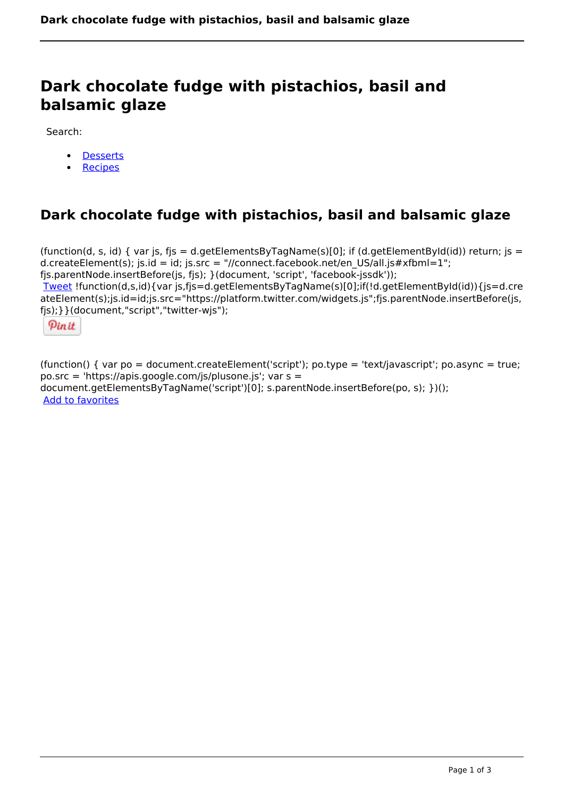# **Dark chocolate fudge with pistachios, basil and balsamic glaze**

Search:

- [Desserts](https://www.naturalhealthmag.com.au/nourish/desserts)
- **[Recipes](https://www.naturalhealthmag.com.au/nourish/recipes)**

# **Dark chocolate fudge with pistachios, basil and balsamic glaze**

(function(d, s, id) { var js, fjs = d.getElementsByTagName(s)[0]; if (d.getElementById(id)) return; js = d.createElement(s); js.id = id; js.src = "//connect.facebook.net/en\_US/all.js#xfbml=1"; fjs.parentNode.insertBefore(js, fjs); }(document, 'script', 'facebook-jssdk')); [Tweet](https://twitter.com/share) !function(d,s,id){var js,fjs=d.getElementsByTagName(s)[0];if(!d.getElementById(id)){js=d.cre ateElement(s);js.id=id;js.src="https://platform.twitter.com/widgets.js";fjs.parentNode.insertBefore(js, fjs);}}(document,"script","twitter-wjs");

Pinit

(function() { var po = document.createElement('script'); po.type = 'text/javascript'; po.async = true; po.src = 'https://apis.google.com/js/plusone.js'; var s = document.getElementsByTagName('script')[0]; s.parentNode.insertBefore(po, s); })(); Add to favorites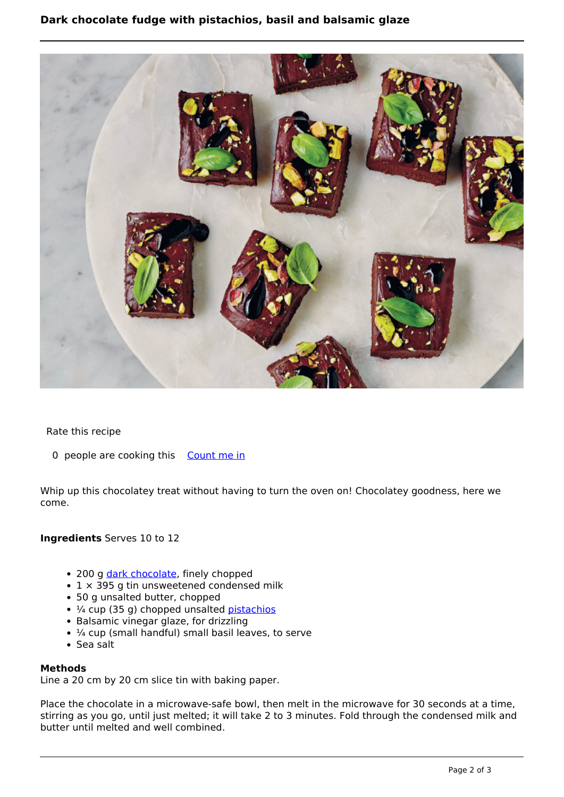## **Dark chocolate fudge with pistachios, basil and balsamic glaze**



Rate this recipe

0 people are cooking this [Count me in](https://www.naturalhealthmag.com.au/flag/flag/favorites/2117?destination=printpdf%2F2117&token=1527257a6981b1851f5ed4be889cc9fd)

Whip up this chocolatey treat without having to turn the oven on! Chocolatey goodness, here we come.

### **Ingredients** Serves 10 to 12

- 200 g [dark chocolate,](http://www.naturalhealthmag.com.au/nourish/double-chocolate-fudge) finely chopped
- $\cdot$  1  $\times$  395 g tin unsweetened condensed milk
- 50 g unsalted butter, chopped
- 1/4 cup (35 g) chopped unsalted [pistachios](http://www.naturalhealthmag.com.au/nourish/raw-chocolate-bark-pomegranate-pistachios)
- Balsamic vinegar glaze, for drizzling
- $\cdot$   $\frac{1}{4}$  cup (small handful) small basil leaves, to serve
- Sea salt

#### **Methods**

Line a 20 cm by 20 cm slice tin with baking paper.

Place the chocolate in a microwave-safe bowl, then melt in the microwave for 30 seconds at a time, stirring as you go, until just melted; it will take 2 to 3 minutes. Fold through the condensed milk and butter until melted and well combined.